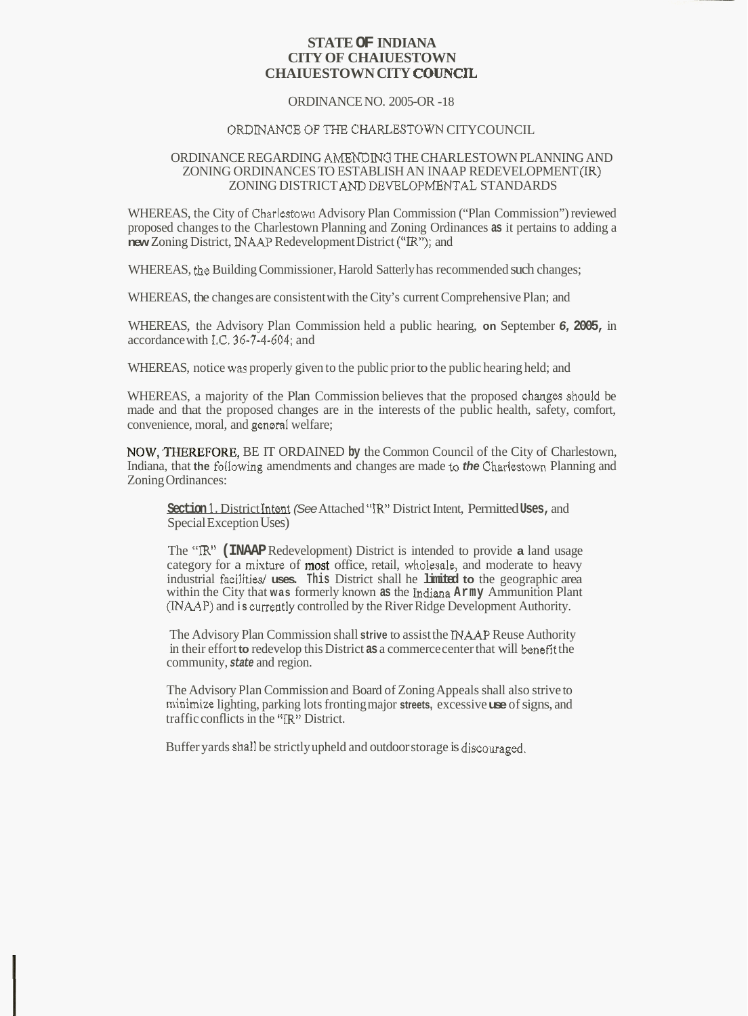# **STATE OF INDIANA CITY OF CHAIUESTOWN CHAIUESTOWN CITY COUNCFL**

#### ORDINANCE NO. 2005-OR -18

# ORDINANCE OF THE CHARLESTOWN CITYCOUNCIL.

### ORDINANCE REGARDING **AMENDIN0** THE CHARLESTOWN PLANNING AND ZONING ORDINANCES TO ESTABLISH AN INAAP REDEVELOPMENT (IR) ZONING DISTRICT AND DEVELOPMENTAL STANDARDS

WHEREAS, the City of Charlestown Advisory Plan Commission ("Plan Commission") reviewed proposed changes to the Charlestown Planning and Zoning Ordinances **as** it pertains to adding a **new** Zoning District, INAAF' Redevelopment District *("IR");* and

WHEREAS, the Building Commissioner, Harold Satterly has recommended such changes;

WHEREAS, the changes are consistent with the City's current Comprehensive Plan; and

WHEREAS, the Advisory Plan Commission held a public hearing, **on** September *6,* **2005,** in accordance with IC. **36-7-4-604;** and

WHEREAS, notice **was** properly given to the public prior to the public hearing held; and

WHEREAS, a majority of the Plan Commission believes that the proposed changes should be made and that the proposed changes are in the interests of the public health, safety, comfort, convenience, moral, and general welfare;

NOW,TFEREFORE, BE IT ORDAINED **by** the Common Council of the City of Charlestown, Indiana, that **the** foIlowing amendments and changes are made **to** *the* Charlestawn Planning and Zoning Ordinances:

**Section 1.** District Intent *(See* Attached "IR" District Intent, Permitted **Uses,** and Special Exception Uses)

The **"lR" (INAAP** Redevelopment) District is intended to provide **a** land usage category for a mixture of most office, retail, wholesale, and moderate to heavy industrial facilities/ **uses. This** District shall he **limited to** the geographic area within the City that **was** formerly known **as** the Indiana **Army** Ammunition Plant (INAAP) and **is** currently controlled by the River Ridge Development Authority.

The Advisory Plan Commission shall **strive** to assist the INAAP Reuse Authority in their effort **to** redevelop this District **as** a commerce center that will benefit the community, *state* and region.

The Advisory Plan Commission and Board of Zoning Appeals shall also strive to minimize lighting, parking lots fronting major **streets,** excessive **use** of signs, and traffic conflicts in the "IR" District.

Buffer yards **shdl** be strictly upheld and outdoor storage is discouraged.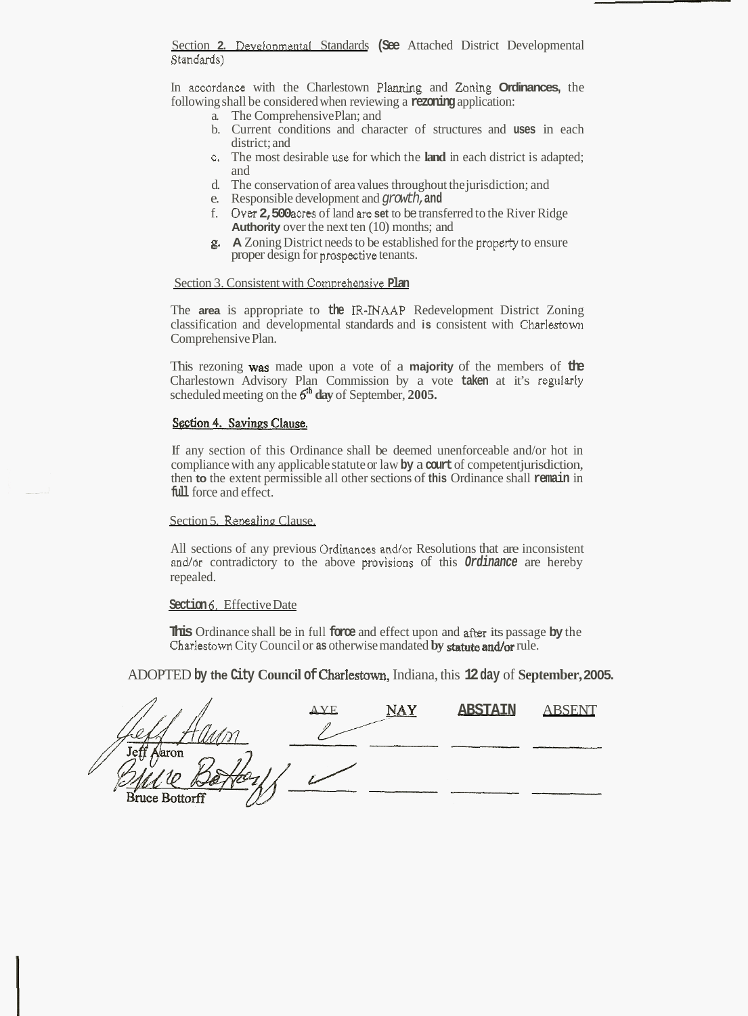Section 2. Developmental Standards (See Attached District Developmental Standards)

In accordance with the Charlestown **Plannhg** and *Zoning* **Ordinances,** the following shall be considered when reviewing a **rezoning** application:

- a. The Comprehensive Plan; and
- b. Current conditions and character of structures and **uses** in each district; and
- c. The most desirable use for which the **land** in each district is adapted; and
- d. The conservation of area values throughout the jurisdiction; and
- e. Responsible development and *growth,* **and**
- f. **Over 2,500** acm of land **are set** to be transferred to the River Ridge **Authority** over the next ten (10) months; and
- **g.** A Zoning District needs to be established for the property to ensure proper design for prospective tenants.

# Section 3. Consistent with Comprehensive **Plan**

The **area** is appropriate to **the IR-INAAP** Redevelopment District Zoning classification and developmental standards and **is** consistent with Charlestom Comprehensive Plan.

This rezoning **was** made upon a vote of a **majority** of the members of **the**  Charlestown Advisory Plan Commission by a vote **taken** at it's regnlarly scheduled meeting on the **ffh day** of September, **2005.** 

# Section 4. Savings Clause.

If any section of this Ordinance shall be deemed unenforceable and/or hot in compliance with any applicable statute or law **by** a **court** of competent jurisdiction, then **to** the extent permissible all other sections of **this** Ordinance shall **remain** in **full** force and effect.

#### Section 5. Repealing Clause.

All sections of any previous Ordinances and/or Resolutions that are inconsistent andlor contradictory to the above **provisions** of this *Ordinance* are hereby repealed.

#### **Section 6.** Effective Date

**This** Ordinance shall be in full **force** and effect upon and *after* its passage **by** the Charlestown City Council or **as** otherwise mandated **by** statute *and/or* rule.

| <b>This Ordinance shall be in full loce and effect upon and after its passage by the</b><br>Charlestown City Council or as otherwise mandated by statute and/or rule. |             |     |                |               |
|-----------------------------------------------------------------------------------------------------------------------------------------------------------------------|-------------|-----|----------------|---------------|
| ADOPTED by the City Council of Charlestown, Indiana, this 12 day of September, 200:                                                                                   |             |     |                |               |
|                                                                                                                                                                       | $\Delta$ YF | NAY | <b>ABSTAIN</b> | <b>ABSENT</b> |
| Jaron<br>Je:<br><b>Bruce Bottorff</b>                                                                                                                                 |             |     |                |               |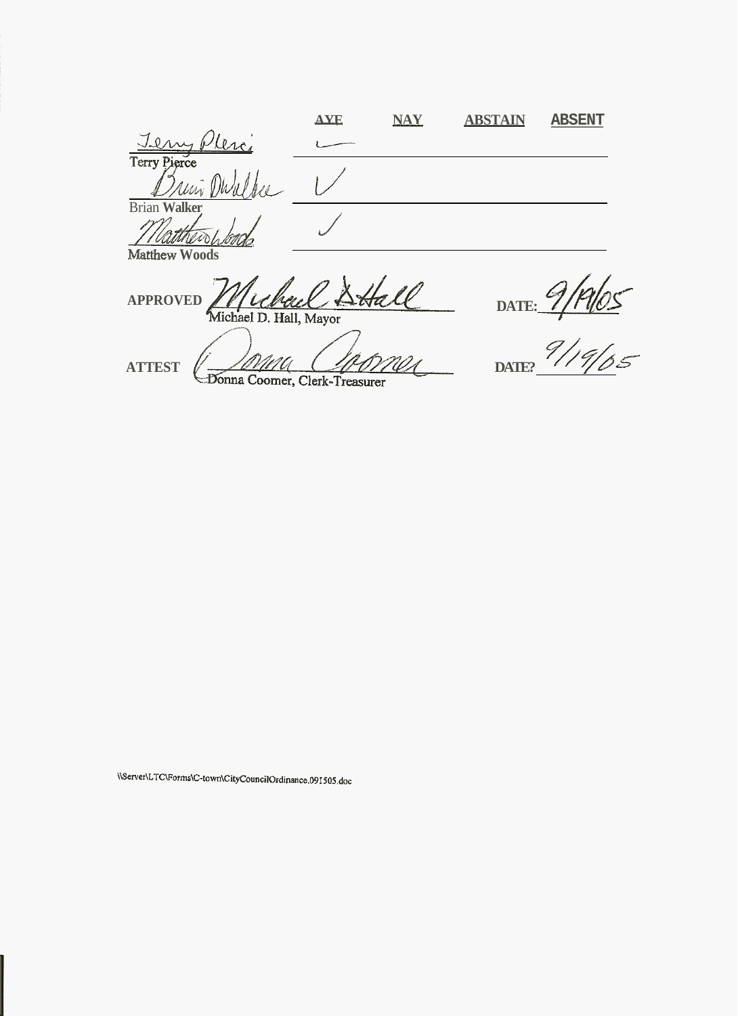|                          | <b>AYE</b> | <b>NAY</b> | <b>ABSTAIN</b> | <b>ABSENT</b> |
|--------------------------|------------|------------|----------------|---------------|
| Tem<br>lero              |            |            |                |               |
| Terry Pierce             |            |            |                |               |
| $\overline{\phantom{a}}$ |            |            |                |               |
| <b>Brian Walker</b>      |            |            |                |               |
|                          |            |            |                |               |
| Matthew Woods            |            |            |                |               |

APPROVED <u>/ Muchael Date:</u> DATE:

ATTEST  $\ell = 20000$ 

\\Server\LTC\Forms\C-town\CityCouncilOrdinance.091505.doc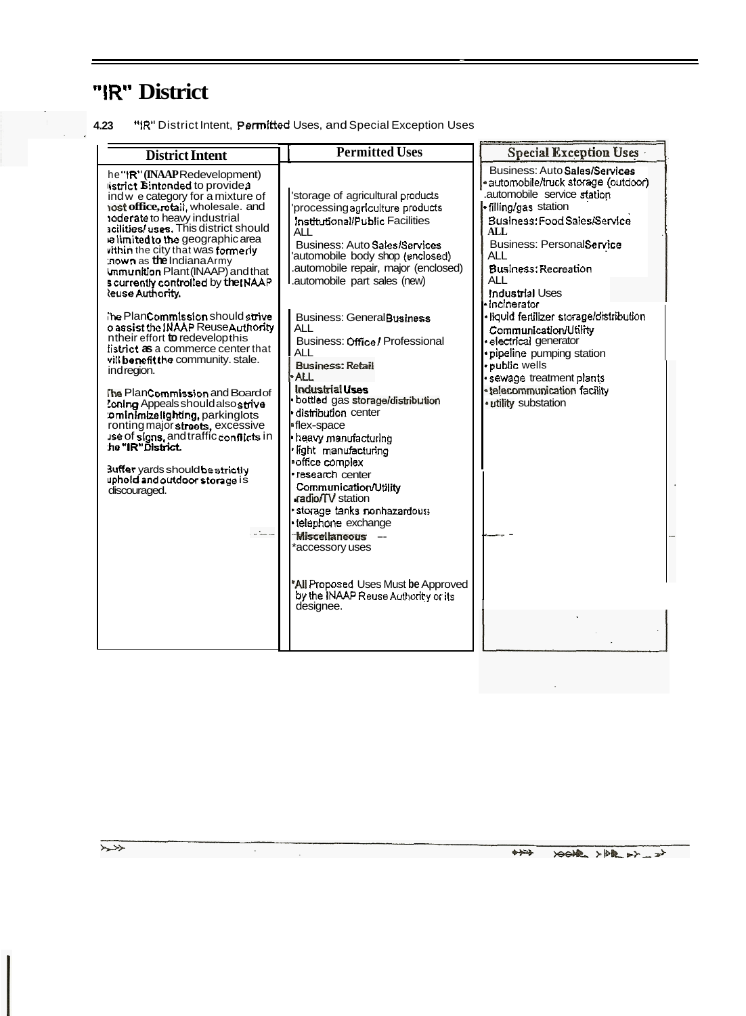# "IR" District

| 4.23 | "IR" District Intent, Permitted Uses, and Special Exception Uses |  |  |  |  |  |
|------|------------------------------------------------------------------|--|--|--|--|--|
|------|------------------------------------------------------------------|--|--|--|--|--|

| <b>District Intent</b>                                                                                                                                                                                                                                                                                                                                                                                                                                                                                                                                                                                                                                                                                                                                                                                                                                                                                                              | <b>Permitted Uses</b>                                                                                                                                                                                                                                                                                                                                                                                                                                                                                                                                                                                                                                                                                                                                                                                                                          | Special Exception Uses                                                                                                                                                                                                                                                                                                                                                                                                                                                                                               |
|-------------------------------------------------------------------------------------------------------------------------------------------------------------------------------------------------------------------------------------------------------------------------------------------------------------------------------------------------------------------------------------------------------------------------------------------------------------------------------------------------------------------------------------------------------------------------------------------------------------------------------------------------------------------------------------------------------------------------------------------------------------------------------------------------------------------------------------------------------------------------------------------------------------------------------------|------------------------------------------------------------------------------------------------------------------------------------------------------------------------------------------------------------------------------------------------------------------------------------------------------------------------------------------------------------------------------------------------------------------------------------------------------------------------------------------------------------------------------------------------------------------------------------------------------------------------------------------------------------------------------------------------------------------------------------------------------------------------------------------------------------------------------------------------|----------------------------------------------------------------------------------------------------------------------------------------------------------------------------------------------------------------------------------------------------------------------------------------------------------------------------------------------------------------------------------------------------------------------------------------------------------------------------------------------------------------------|
| he"IR" (INAAPRedevelopment)<br>istrict <b>B</b> intended to providea<br>ind w e category for a mixture of<br>iost office, rotal, wholesale. and<br>toderate to heavy industrial<br>scilities/uses. This district should<br>e limited to the geographic area<br>vithin the city that was formedy<br>nown as the Indiana Army<br>Ummunition Plant (INAAP) and that<br>s currently controlled by the INAAP<br>leuse Authority.<br>The PlanCommission should strive<br>o assist the INAAP ReuseAuthority<br>ntheir effort to redevelopthis<br>listrict as a commerce center that<br>vill benefit the community. stale.<br>ind region.<br>The PlanCommission and Board of<br>Coning Appeals should also strive<br>o minimize lighting, parkinglots<br>ronting major streets, excessive<br>ise of signs, and traffic conflicts in<br>he "IR"District.<br>3uffer yards should be strictly<br>uphold and outdoor storage is<br>discouraged. | storage of agricultural products<br>processing agriculture products<br>Institutional/Public Facilities<br><b>ALL</b><br>Business: Auto Sales/Services<br>automobile body shop (enclosed)<br>.automobile repair, major (enclosed)<br>.automobile part sales (new)<br><b>Business: General Business</b><br><b>ALL</b><br>Business: Office / Professional<br>AL L<br><b>Business: Retail</b><br>ALL.<br><b>Industrial Lises</b><br>bottled gas storage/distribution<br>distribution center<br>∙flex-space<br>heavy manufacturing<br>· light manufacturing<br>·office complex<br>· research center<br>Communication/Utility<br>radio/TV station<br>storage tanks nonhazardous<br>· telephone exchange<br><b>Miscellaneous</b><br>$-$<br>*accessory uses<br>"All Proposed Uses Must be Approved<br>by the INAAP Reuse Authority or its<br>designee. | Business: Auto Sales/Services<br>·automobile/truck storage (outdoor)<br>automobile service station<br><b>filling/gas station</b><br>Business: Food Sales/Service<br>ALL.<br>Business: PersonalService<br><b>ALL</b><br>Business: Recreation<br>AI<br>Industrial Uses<br>∙incinerator:<br>·liquid fertilizer storage/distribution<br>Communication/Utility<br>electrical generator<br>· pipeline pumping station<br>public wells<br>· sewage treatment plants<br>· telecommunication facility<br>· utility substation |
|                                                                                                                                                                                                                                                                                                                                                                                                                                                                                                                                                                                                                                                                                                                                                                                                                                                                                                                                     |                                                                                                                                                                                                                                                                                                                                                                                                                                                                                                                                                                                                                                                                                                                                                                                                                                                |                                                                                                                                                                                                                                                                                                                                                                                                                                                                                                                      |